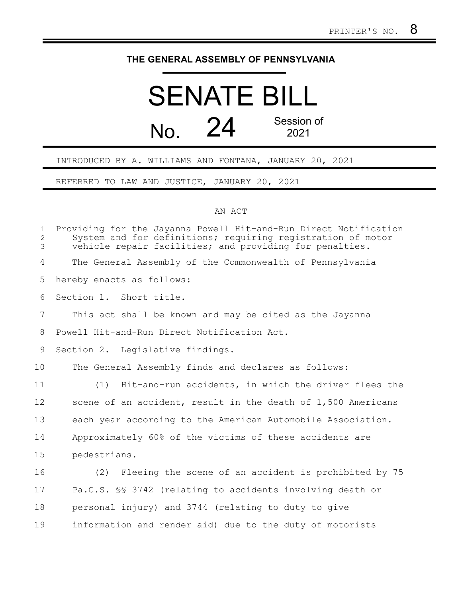## **THE GENERAL ASSEMBLY OF PENNSYLVANIA**

## SENATE BILL No. 24 Session of 2021

## INTRODUCED BY A. WILLIAMS AND FONTANA, JANUARY 20, 2021

REFERRED TO LAW AND JUSTICE, JANUARY 20, 2021

## AN ACT

| $\mathbf{1}$<br>$\overline{c}$<br>3 | Providing for the Jayanna Powell Hit-and-Run Direct Notification<br>System and for definitions; requiring registration of motor<br>vehicle repair facilities; and providing for penalties. |
|-------------------------------------|--------------------------------------------------------------------------------------------------------------------------------------------------------------------------------------------|
| 4                                   | The General Assembly of the Commonwealth of Pennsylvania                                                                                                                                   |
| 5                                   | hereby enacts as follows:                                                                                                                                                                  |
| 6                                   | Section 1. Short title.                                                                                                                                                                    |
| $\overline{7}$                      | This act shall be known and may be cited as the Jayanna                                                                                                                                    |
| 8                                   | Powell Hit-and-Run Direct Notification Act.                                                                                                                                                |
| 9                                   | Section 2. Legislative findings.                                                                                                                                                           |
| 10                                  | The General Assembly finds and declares as follows:                                                                                                                                        |
| 11                                  | Hit-and-run accidents, in which the driver flees the<br>(1)                                                                                                                                |
| 12                                  | scene of an accident, result in the death of 1,500 Americans                                                                                                                               |
| 13                                  | each year according to the American Automobile Association.                                                                                                                                |
| 14                                  | Approximately 60% of the victims of these accidents are                                                                                                                                    |
| 15                                  | pedestrians.                                                                                                                                                                               |
| 16                                  | Fleeing the scene of an accident is prohibited by 75<br>(2)                                                                                                                                |
| 17                                  | Pa.C.S. §§ 3742 (relating to accidents involving death or                                                                                                                                  |
| 18                                  | personal injury) and 3744 (relating to duty to give                                                                                                                                        |
| 19                                  | information and render aid) due to the duty of motorists                                                                                                                                   |
|                                     |                                                                                                                                                                                            |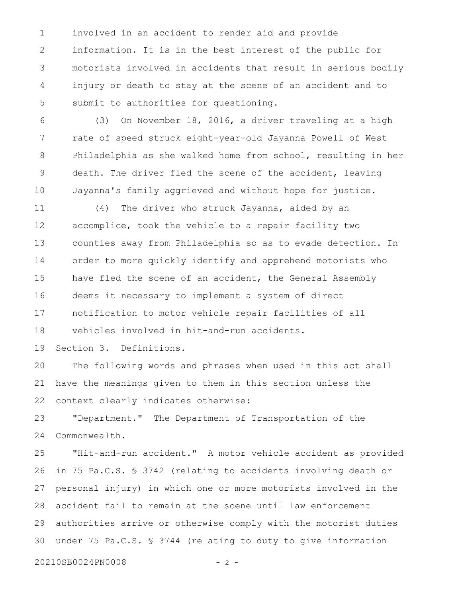involved in an accident to render aid and provide information. It is in the best interest of the public for motorists involved in accidents that result in serious bodily injury or death to stay at the scene of an accident and to submit to authorities for questioning. 1 2 3 4 5

(3) On November 18, 2016, a driver traveling at a high rate of speed struck eight-year-old Jayanna Powell of West Philadelphia as she walked home from school, resulting in her death. The driver fled the scene of the accident, leaving Jayanna's family aggrieved and without hope for justice. 6 7 8 9 10

(4) The driver who struck Jayanna, aided by an accomplice, took the vehicle to a repair facility two counties away from Philadelphia so as to evade detection. In order to more quickly identify and apprehend motorists who have fled the scene of an accident, the General Assembly deems it necessary to implement a system of direct notification to motor vehicle repair facilities of all vehicles involved in hit-and-run accidents. 11 12 13 14 15 16 17 18

Section 3. Definitions. 19

The following words and phrases when used in this act shall have the meanings given to them in this section unless the context clearly indicates otherwise: 20 21 22

"Department." The Department of Transportation of the Commonwealth. 23 24

"Hit-and-run accident." A motor vehicle accident as provided in 75 Pa.C.S. § 3742 (relating to accidents involving death or personal injury) in which one or more motorists involved in the accident fail to remain at the scene until law enforcement authorities arrive or otherwise comply with the motorist duties under 75 Pa.C.S. § 3744 (relating to duty to give information 25 26 27 28 29 30

20210SB0024PN0008 - 2 -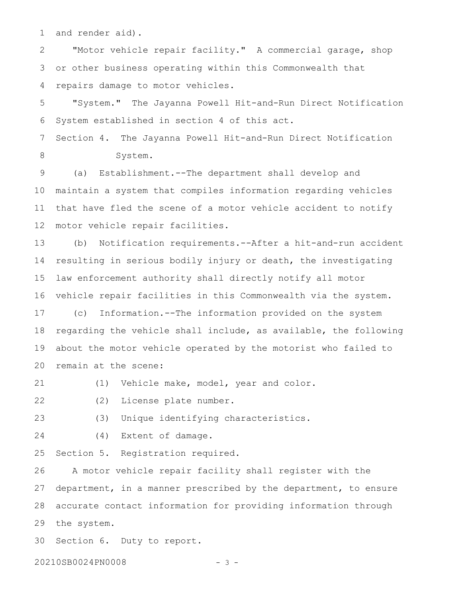and render aid). 1

"Motor vehicle repair facility." A commercial garage, shop or other business operating within this Commonwealth that repairs damage to motor vehicles. 2 3 4

"System." The Jayanna Powell Hit-and-Run Direct Notification System established in section 4 of this act. 5 6

Section 4. The Jayanna Powell Hit-and-Run Direct Notification System. 7 8

(a) Establishment.--The department shall develop and maintain a system that compiles information regarding vehicles that have fled the scene of a motor vehicle accident to notify motor vehicle repair facilities. 9 10 11 12

(b) Notification requirements.--After a hit-and-run accident resulting in serious bodily injury or death, the investigating law enforcement authority shall directly notify all motor vehicle repair facilities in this Commonwealth via the system. 13 14 15 16

(c) Information.--The information provided on the system regarding the vehicle shall include, as available, the following about the motor vehicle operated by the motorist who failed to remain at the scene: 17 18 19 20

(1) Vehicle make, model, year and color. 21

(2) License plate number. 22

(3) Unique identifying characteristics. 23

(4) Extent of damage. 24

Section 5. Registration required. 25

A motor vehicle repair facility shall register with the department, in a manner prescribed by the department, to ensure accurate contact information for providing information through the system. 26 27 28 29

Section 6. Duty to report. 30

20210SB0024PN0008 - 3 -